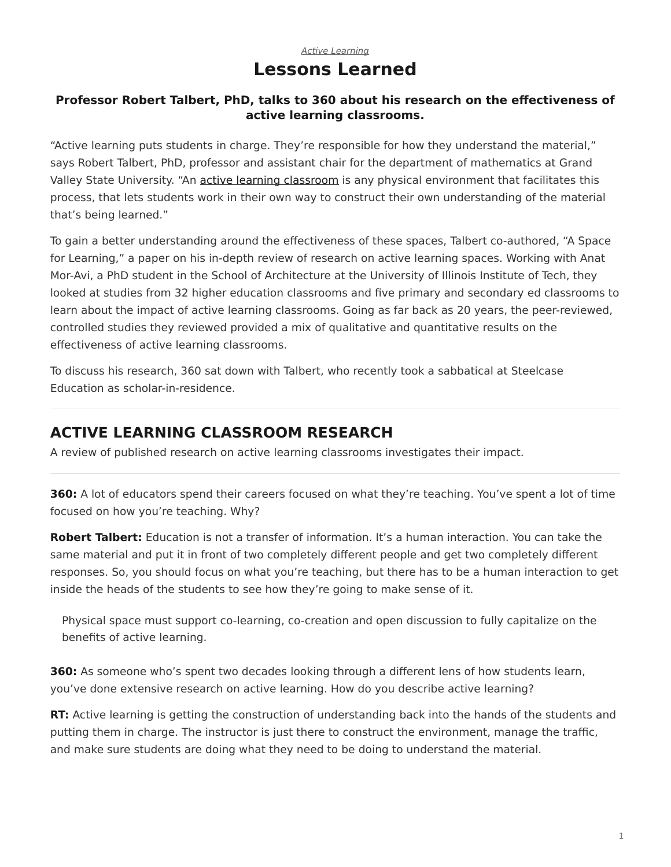## *[Active Learning](https://www.steelcase.com/research/topics/active-learning/)* **Lessons Learned**

### <span id="page-0-0"></span>**Professor Robert Talbert, PhD, talks to 360 about his research on the effectiveness of active learning classrooms.**

"Active learning puts students in charge. They're responsible for how they understand the material," says Robert Talbert, PhD, professor and assistant chair for the department of mathematics at Grand Valley State University. "An [active learning classroom](https://www.steelcase.com/eu-en/spaces/learn-better/active-learning-classrooms/) is any physical environment that facilitates this process, that lets students work in their own way to construct their own understanding of the material that's being learned."

To gain a better understanding around the effectiveness of these spaces, Talbert co-authored, "A Space for Learning," a paper on his in-depth review of research on active learning spaces. Working with Anat Mor-Avi, a PhD student in the School of Architecture at the University of Illinois Institute of Tech, they looked at studies from 32 higher education classrooms and five primary and secondary ed classrooms to learn about the impact of active learning classrooms. Going as far back as 20 years, the peer-reviewed, controlled studies they reviewed provided a mix of qualitative and quantitative results on the effectiveness of active learning classrooms.

To discuss his research, 360 sat down with Talbert, who recently took a sabbatical at Steelcase Education as scholar-in-residence.

# **ACTIVE LEARNING CLASSROOM RESEARCH**

A review of published research on active learning classrooms investigates their impact.

**360:** A lot of educators spend their careers focused on what they're teaching. You've spent a lot of time focused on how you're teaching. Why?

**Robert Talbert:** Education is not a transfer of information. It's a human interaction. You can take the same material and put it in front of two completely different people and get two completely different responses. So, you should focus on what you're teaching, but there has to be a human interaction to get inside the heads of the students to see how they're going to make sense of it.

Physical space must support co-learning, co-creation and open discussion to fully capitalize on the benefits of active learning.

**360:** As someone who's spent two decades looking through a different lens of how students learn, you've done extensive research on active learning. How do you describe active learning?

**RT:** Active learning is getting the construction of understanding back into the hands of the students and putting them in charge. The instructor is just there to construct the environment, manage the traffic, and make sure students are doing what they need to be doing to understand the material.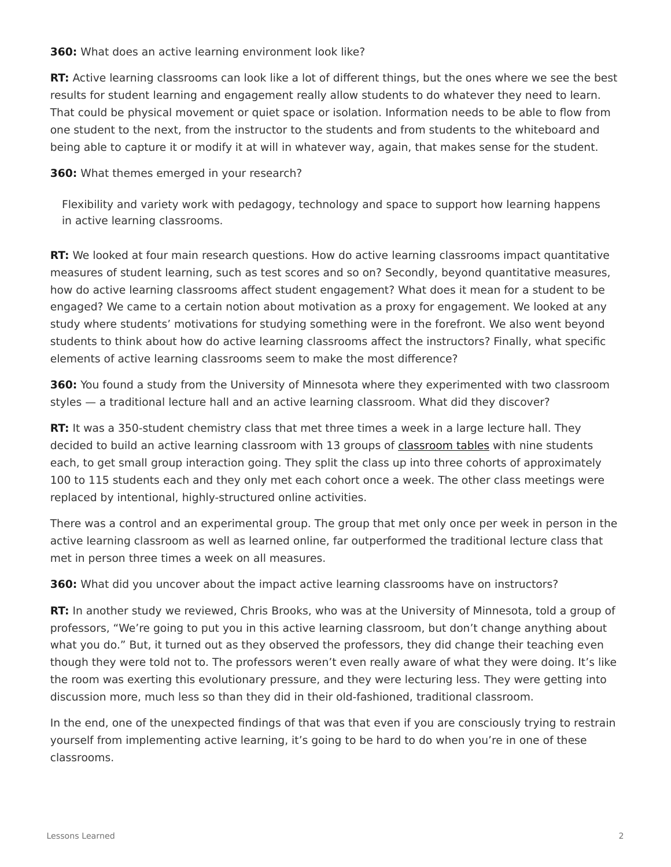**360:** What does an active learning environment look like?

**RT:** Active learning classrooms can look like a lot of different things, but the ones where we see the best results for student learning and engagement really allow students to do whatever they need to learn. That could be physical movement or quiet space or isolation. Information needs to be able to flow from one student to the next, from the instructor to the students and from students to the whiteboard and being able to capture it or modify it at will in whatever way, again, that makes sense for the student.

#### **360:** What themes emerged in your research?

Flexibility and variety work with pedagogy, technology and space to support how learning happens in active learning classrooms.

**RT:** We looked at four main research questions. How do active learning classrooms impact quantitative measures of student learning, such as test scores and so on? Secondly, beyond quantitative measures, how do active learning classrooms affect student engagement? What does it mean for a student to be engaged? We came to a certain notion about motivation as a proxy for engagement. We looked at any study where students' motivations for studying something were in the forefront. We also went beyond students to think about how do active learning classrooms affect the instructors? Finally, what specific elements of active learning classrooms seem to make the most difference?

**360:** You found a study from the University of Minnesota where they experimented with two classroom styles — a traditional lecture hall and an active learning classroom. What did they discover?

**RT:** It was a 350-student chemistry class that met three times a week in a large lecture hall. They decided to build an active learning classroom with 13 groups of [classroom tables](https://www.steelcase.com/eu-en/products/meeting-tables/) with nine students each, to get small group interaction going. They split the class up into three cohorts of approximately 100 to 115 students each and they only met each cohort once a week. The other class meetings were replaced by intentional, highly-structured online activities.

There was a control and an experimental group. The group that met only once per week in person in the active learning classroom as well as learned online, far outperformed the traditional lecture class that met in person three times a week on all measures.

**360:** What did you uncover about the impact active learning classrooms have on instructors?

**RT:** In another study we reviewed, Chris Brooks, who was at the University of Minnesota, told a group of professors, "We're going to put you in this active learning classroom, but don't change anything about what you do." But, it turned out as they observed the professors, they did change their teaching even though they were told not to. The professors weren't even really aware of what they were doing. It's like the room was exerting this evolutionary pressure, and they were lecturing less. They were getting into discussion more, much less so than they did in their old-fashioned, traditional classroom.

In the end, one of the unexpected findings of that was that even if you are consciously trying to restrain yourself from implementing active learning, it's going to be hard to do when you're in one of these classrooms.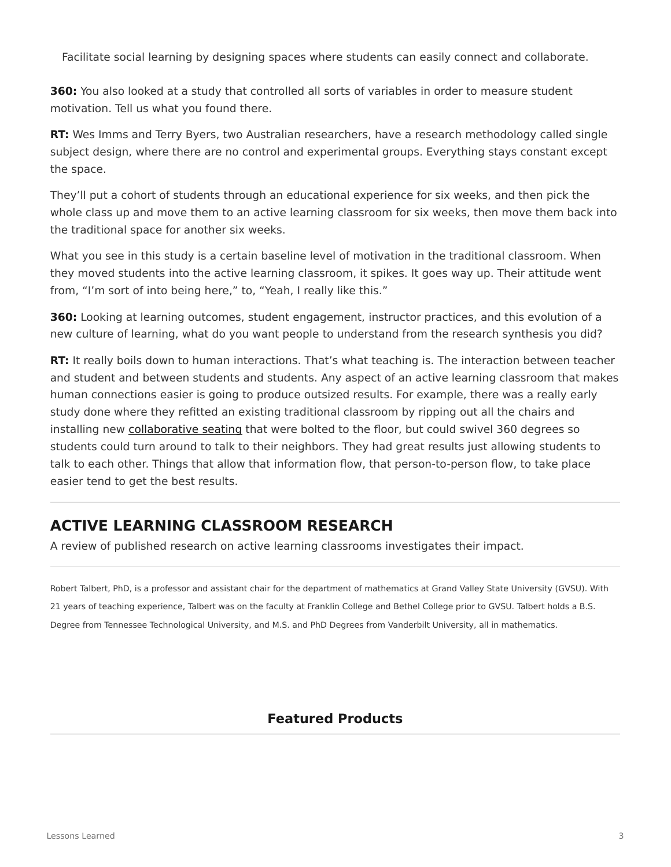Facilitate social learning by designing spaces where students can easily connect and collaborate.

**360:** You also looked at a study that controlled all sorts of variables in order to measure student motivation. Tell us what you found there.

**RT:** Wes Imms and Terry Byers, two Australian researchers, have a research methodology called single subject design, where there are no control and experimental groups. Everything stays constant except the space.

They'll put a cohort of students through an educational experience for six weeks, and then pick the whole class up and move them to an active learning classroom for six weeks, then move them back into the traditional space for another six weeks.

What you see in this study is a certain baseline level of motivation in the traditional classroom. When they moved students into the active learning classroom, it spikes. It goes way up. Their attitude went from, "I'm sort of into being here," to, "Yeah, I really like this."

**360:** Looking at learning outcomes, student engagement, instructor practices, and this evolution of a new culture of learning, what do you want people to understand from the research synthesis you did?

**RT:** It really boils down to human interactions. That's what teaching is. The interaction between teacher and student and between students and students. Any aspect of an active learning classroom that makes human connections easier is going to produce outsized results. For example, there was a really early study done where they refitted an existing traditional classroom by ripping out all the chairs and installing new [collaborative seating](https://www.steelcase.com/products/conference-chairs/) that were bolted to the floor, but could swivel 360 degrees so students could turn around to talk to their neighbors. They had great results just allowing students to talk to each other. Things that allow that information flow, that person-to-person flow, to take place easier tend to get the best results.

## **ACTIVE LEARNING CLASSROOM RESEARCH**

A review of published research on active learning classrooms investigates their impact.

Robert Talbert, PhD, is a professor and assistant chair for the department of mathematics at Grand Valley State University (GVSU). With 21 years of teaching experience, Talbert was on the faculty at Franklin College and Bethel College prior to GVSU. Talbert holds a B.S. Degree from Tennessee Technological University, and M.S. and PhD Degrees from Vanderbilt University, all in mathematics.

## **Featured Products**